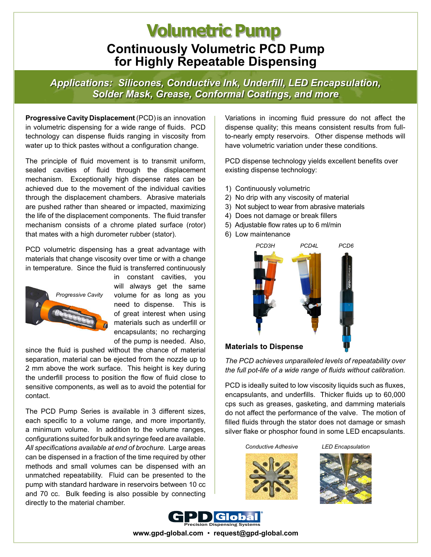### **Continuously Volumetric PCD Pump for Highly Repeatable Dispensing Volumetric Pump**

*Applications: Silicones, Conductive Ink, Underfill, LED Encapsulation, Solder Mask, Grease, Conformal Coatings, and more*

**Progressive Cavity Displacement** (PCD) is an innovation in volumetric dispensing for a wide range of fluids. PCD technology can dispense fluids ranging in viscosity from water up to thick pastes without a configuration change.

The principle of fluid movement is to transmit uniform, sealed cavities of fluid through the displacement mechanism. Exceptionally high dispense rates can be achieved due to the movement of the individual cavities through the displacement chambers. Abrasive materials are pushed rather than sheared or impacted, maximizing the life of the displacement components. The fluid transfer mechanism consists of a chrome plated surface (rotor) that mates with a high durometer rubber (stator).

PCD volumetric dispensing has a great advantage with materials that change viscosity over time or with a change in temperature. Since the fluid is transferred continuously



in constant cavities, you will always get the same volume for as long as you need to dispense. This is of great interest when using materials such as underfill or encapsulants; no recharging of the pump is needed. Also,

since the fluid is pushed without the chance of material separation, material can be ejected from the nozzle up to 2 mm above the work surface. This height is key during the underfill process to position the flow of fluid close to sensitive components, as well as to avoid the potential for contact.

The PCD Pump Series is available in 3 different sizes, each specific to a volume range, and more importantly, a minimum volume. In addition to the volume ranges, configurations suited for bulk and syringe feed are available. *All specifications available at end of brochure.* Large areas can be dispensed in a fraction of the time required by other methods and small volumes can be dispensed with an unmatched repeatability. Fluid can be presented to the pump with standard hardware in reservoirs between 10 cc and 70 cc. Bulk feeding is also possible by connecting directly to the material chamber.

Variations in incoming fluid pressure do not affect the dispense quality; this means consistent results from fullto-nearly empty reservoirs. Other dispense methods will have volumetric variation under these conditions.

PCD dispense technology yields excellent benefits over existing dispense technology:

- 1) Continuously volumetric
- 2) No drip with any viscosity of material
- 3) Not subject to wear from abrasive materials
- 4) Does not damage or break fillers
- 5) Adjustable flow rates up to 6 ml/min
- 6) Low maintenance



#### **Materials to Dispense**

*The PCD achieves unparalleled levels of repeatability over the full pot-life of a wide range of fluids without calibration.*

PCD is ideally suited to low viscosity liquids such as fluxes, encapsulants, and underfills. Thicker fluids up to 60,000 cps such as greases, gasketing, and damming materials do not affect the performance of the valve. The motion of filled fluids through the stator does not damage or smash silver flake or phosphor found in some LED encapsulants.

*Conductive Adhesive LED Encapsulation*







**www.gpd-global.com** • **request@gpd-global.com**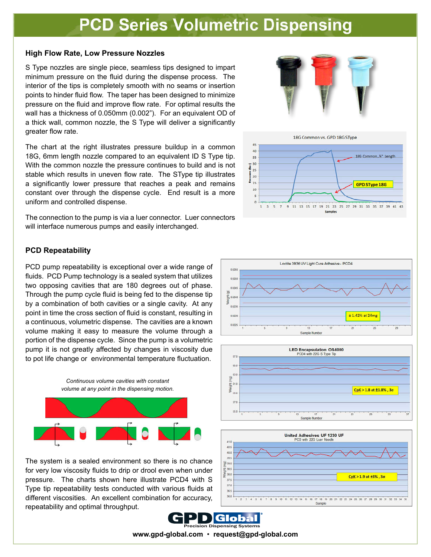## **PCD Series Volumetric Dispensing**

#### **High Flow Rate, Low Pressure Nozzles**

S Type nozzles are single piece, seamless tips designed to impart minimum pressure on the fluid during the dispense process. The interior of the tips is completely smooth with no seams or insertion points to hinder fluid flow. The taper has been designed to minimize pressure on the fluid and improve flow rate. For optimal results the wall has a thickness of 0.050mm (0.002"). For an equivalent OD of a thick wall, common nozzle, the S Type will deliver a significantly greater flow rate.

The chart at the right illustrates pressure buildup in a common 18G, 6mm length nozzle compared to an equivalent ID S Type tip. With the common nozzle the pressure continues to build and is not stable which results in uneven flow rate. The SType tip illustrates a significantly lower pressure that reaches a peak and remains constant over through the dispense cycle. End result is a more uniform and controlled dispense.

The connection to the pump is via a luer connector. Luer connectors will interface numerous pumps and easily interchanged.

#### **PCD Repeatability**

PCD pump repeatability is exceptional over a wide range of fluids. PCD Pump technology is a sealed system that utilizes two opposing cavities that are 180 degrees out of phase. Through the pump cycle fluid is being fed to the dispense tip by a combination of both cavities or a single cavity. At any point in time the cross section of fluid is constant, resulting in a continuous, volumetric dispense. The cavities are a known volume making it easy to measure the volume through a portion of the dispense cycle. Since the pump is a volumetric pump it is not greatly affected by changes in viscosity due to pot life change or environmental temperature fluctuation.



The system is a sealed environment so there is no chance for very low viscosity fluids to drip or drool even when under pressure. The charts shown here illustrate PCD4 with S Type tip repeatability tests conducted with various fluids at different viscosities. An excellent combination for accuracy, repeatability and optimal throughput.













**www.gpd-global.com** • **request@gpd-global.com**